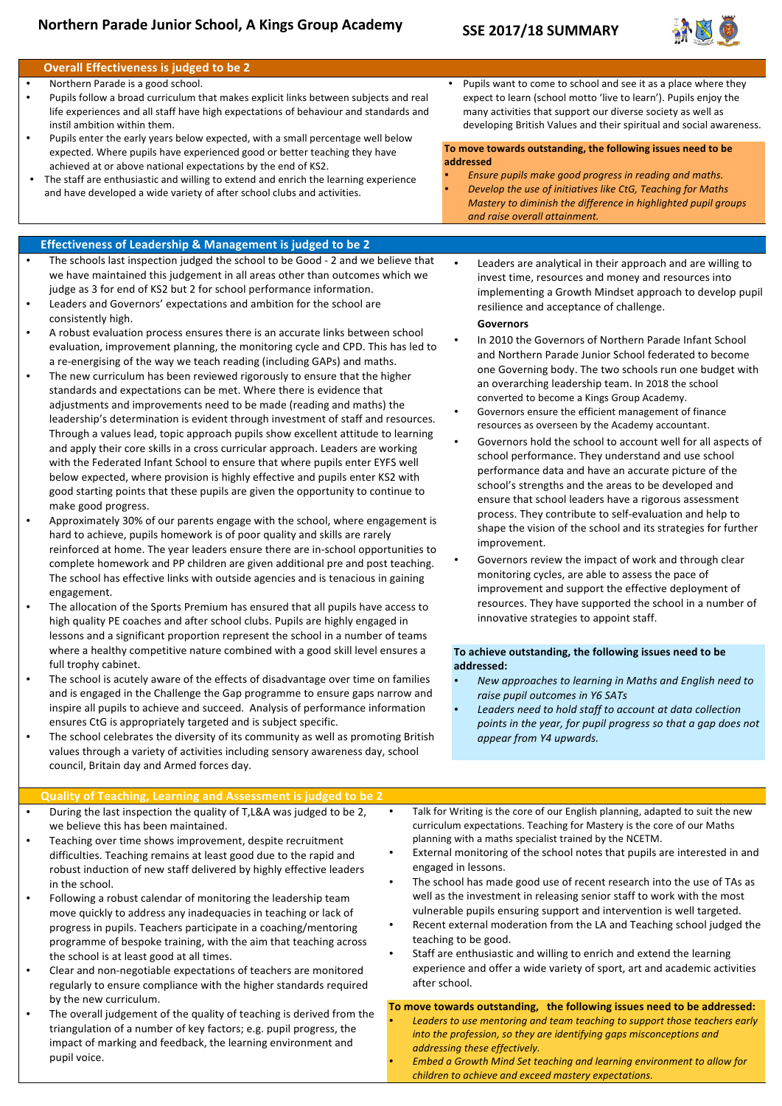# **Northern Parade Junior School, A Kings Group Academy**

### **SSE 2017/18 SUMMARY**



#### **Overall Effectiveness is judged to be 2** Northern Parade is a good school. Pupils follow a broad curriculum that makes explicit links between subjects and real life experiences and all staff have high expectations of behaviour and standards and instil ambition within them. Pupils enter the early years below expected, with a small percentage well below expected. Where pupils have experienced good or better teaching they have achieved at or above national expectations by the end of KS2. The staff are enthusiastic and willing to extend and enrich the learning experience and have developed a wide variety of after school clubs and activities. **addressed Effectiveness of Leadership & Management is judged to be 2** The schools last inspection judged the school to be Good - 2 and we believe that we have maintained this judgement in all areas other than outcomes which we judge as 3 for end of KS2 but 2 for school performance information. Leaders and Governors' expectations and ambition for the school are consistently high. A robust evaluation process ensures there is an accurate links between school evaluation, improvement planning, the monitoring cycle and CPD. This has led to a re-energising of the way we teach reading (including GAPs) and maths. The new curriculum has been reviewed rigorously to ensure that the higher standards and expectations can be met. Where there is evidence that adjustments and improvements need to be made (reading and maths) the leadership's determination is evident through investment of staff and resources. Through a values lead, topic approach pupils show excellent attitude to learning and apply their core skills in a cross curricular approach. Leaders are working with the Federated Infant School to ensure that where pupils enter EYFS well below expected, where provision is highly effective and pupils enter KS2 with good starting points that these pupils are given the opportunity to continue to make good progress. Approximately 30% of our parents engage with the school, where engagement is hard to achieve, pupils homework is of poor quality and skills are rarely reinforced at home. The year leaders ensure there are in-school opportunities to complete homework and PP children are given additional pre and post teaching. The school has effective links with outside agencies and is tenacious in gaining engagement. The allocation of the Sports Premium has ensured that all pupils have access to high quality PE coaches and after school clubs. Pupils are highly engaged in lessons and a significant proportion represent the school in a number of teams where a healthy competitive nature combined with a good skill level ensures a

- The school is acutely aware of the effects of disadvantage over time on families and is engaged in the Challenge the Gap programme to ensure gaps narrow and inspire all pupils to achieve and succeed. Analysis of performance information ensures CtG is appropriately targeted and is subject specific.
- The school celebrates the diversity of its community as well as promoting British values through a variety of activities including sensory awareness day, school council, Britain day and Armed forces day.

Pupils want to come to school and see it as a place where they expect to learn (school motto 'live to learn'). Pupils enjoy the many activities that support our diverse society as well as developing British Values and their spiritual and social awareness.

# To move towards outstanding, the following issues need to be

- *Ensure pupils make good progress in reading and maths.* **Develop the use of initiatives like CtG, Teaching for Maths**
- *Mastery to diminish the difference in highlighted pupil groups and raise overall attainment.*
	- Leaders are analytical in their approach and are willing to invest time, resources and money and resources into implementing a Growth Mindset approach to develop pupil resilience and acceptance of challenge.

#### **Governors**

- In 2010 the Governors of Northern Parade Infant School and Northern Parade Junior School federated to become one Governing body. The two schools run one budget with an overarching leadership team. In 2018 the school converted to become a Kings Group Academy.
- Governors ensure the efficient management of finance resources as overseen by the Academy accountant.
- Governors hold the school to account well for all aspects of school performance. They understand and use school performance data and have an accurate picture of the school's strengths and the areas to be developed and ensure that school leaders have a rigorous assessment process. They contribute to self-evaluation and help to shape the vision of the school and its strategies for further improvement.
- Governors review the impact of work and through clear monitoring cycles, are able to assess the pace of improvement and support the effective deployment of resources. They have supported the school in a number of innovative strategies to appoint staff.

#### To achieve outstanding, the following issues need to be **addressed:**

- New approaches to learning in Maths and English need to raise pupil outcomes in Y6 SATs
- Leaders need to hold staff to account at data collection points in the year, for pupil progress so that a gap does not *appear from Y4 upwards.*

# **Quality of Teaching, Learning and Assessment is judged to be 2**

During the last inspection the quality of T,L&A was judged to be 2, we believe this has been maintained.

full trophy cabinet.

- Teaching over time shows improvement, despite recruitment difficulties. Teaching remains at least good due to the rapid and robust induction of new staff delivered by highly effective leaders in the school.
- Following a robust calendar of monitoring the leadership team move quickly to address any inadequacies in teaching or lack of progress in pupils. Teachers participate in a coaching/mentoring programme of bespoke training, with the aim that teaching across the school is at least good at all times.
- Clear and non-negotiable expectations of teachers are monitored regularly to ensure compliance with the higher standards required by the new curriculum.
- The overall judgement of the quality of teaching is derived from the triangulation of a number of key factors; e.g. pupil progress, the impact of marking and feedback, the learning environment and pupil voice.
- Talk for Writing is the core of our English planning, adapted to suit the new curriculum expectations. Teaching for Mastery is the core of our Maths planning with a maths specialist trained by the NCETM.
- External monitoring of the school notes that pupils are interested in and engaged in lessons.
- The school has made good use of recent research into the use of TAs as well as the investment in releasing senior staff to work with the most vulnerable pupils ensuring support and intervention is well targeted.
- Recent external moderation from the LA and Teaching school judged the teaching to be good.
- Staff are enthusiastic and willing to enrich and extend the learning experience and offer a wide variety of sport, art and academic activities after school.

# To move towards outstanding, the following issues need to be addressed:

- Leaders to use mentoring and team teaching to support those teachers early *into the profession, so they are identifying gaps misconceptions and addressing these effectively.*
- *Embed* a Growth Mind Set teaching and learning environment to allow for children to achieve and exceed mastery expectations.